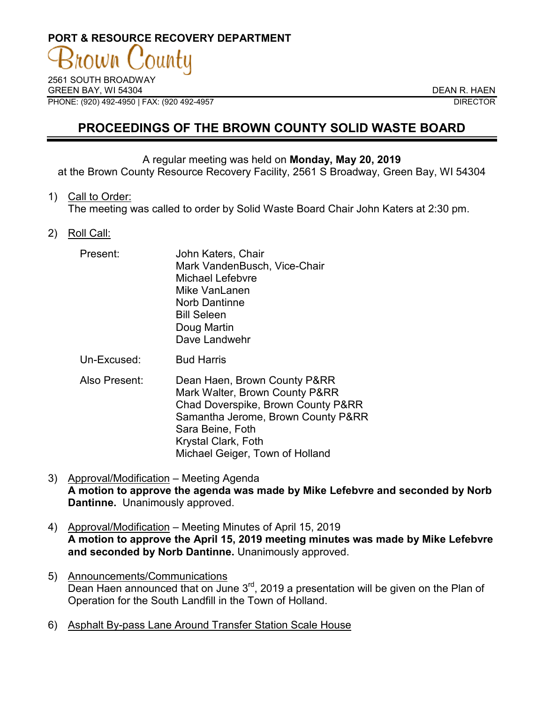# **PORT & RESOURCE RECOVERY DEPARTMENT**

2561 SOUTH BROADWAY GREEN BAY, WI 54304 DEAN R. HAEN PHONE: (920) 492-4950 | FAX: (920 492-4957 DIRECTOR

## **PROCEEDINGS OF THE BROWN COUNTY SOLID WASTE BOARD**

#### A regular meeting was held on **Monday, May 20, 2019**

at the Brown County Resource Recovery Facility, 2561 S Broadway, Green Bay, WI 54304

1) Call to Order:

The meeting was called to order by Solid Waste Board Chair John Katers at 2:30 pm.

2) Roll Call:

| Present: | John Katers, Chair<br>Mark VandenBusch, Vice-Chair |
|----------|----------------------------------------------------|
|          | <b>Michael Lefebvre</b>                            |
|          | Mike VanLanen                                      |
|          | Norb Dantinne                                      |
|          | <b>Bill Seleen</b>                                 |
|          | Doug Martin                                        |
|          | Dave Landwehr                                      |

Un-Excused: Bud Harris

- Also Present: Dean Haen, Brown County P&RR Mark Walter, Brown County P&RR Chad Doverspike, Brown County P&RR Samantha Jerome, Brown County P&RR Sara Beine, Foth Krystal Clark, Foth Michael Geiger, Town of Holland
- 3) Approval/Modification Meeting Agenda **A motion to approve the agenda was made by Mike Lefebvre and seconded by Norb Dantinne.** Unanimously approved.
- 4) Approval/Modification Meeting Minutes of April 15, 2019 **A motion to approve the April 15, 2019 meeting minutes was made by Mike Lefebvre and seconded by Norb Dantinne.** Unanimously approved.
- 5) Announcements/Communications Dean Haen announced that on June  $3<sup>rd</sup>$ , 2019 a presentation will be given on the Plan of Operation for the South Landfill in the Town of Holland.
- 6) Asphalt By-pass Lane Around Transfer Station Scale House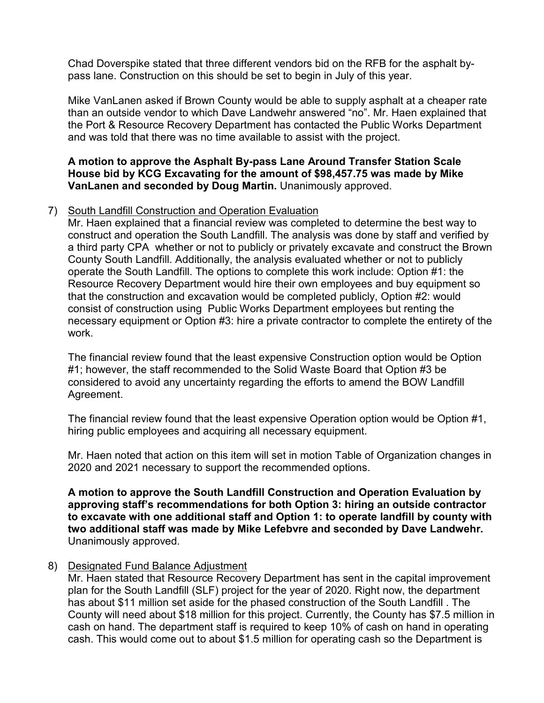Chad Doverspike stated that three different vendors bid on the RFB for the asphalt bypass lane. Construction on this should be set to begin in July of this year.

Mike VanLanen asked if Brown County would be able to supply asphalt at a cheaper rate than an outside vendor to which Dave Landwehr answered "no". Mr. Haen explained that the Port & Resource Recovery Department has contacted the Public Works Department and was told that there was no time available to assist with the project.

#### **A motion to approve the Asphalt By-pass Lane Around Transfer Station Scale House bid by KCG Excavating for the amount of \$98,457.75 was made by Mike VanLanen and seconded by Doug Martin.** Unanimously approved.

#### 7) South Landfill Construction and Operation Evaluation

Mr. Haen explained that a financial review was completed to determine the best way to construct and operation the South Landfill. The analysis was done by staff and verified by a third party CPA whether or not to publicly or privately excavate and construct the Brown County South Landfill. Additionally, the analysis evaluated whether or not to publicly operate the South Landfill. The options to complete this work include: Option #1: the Resource Recovery Department would hire their own employees and buy equipment so that the construction and excavation would be completed publicly, Option #2: would consist of construction using Public Works Department employees but renting the necessary equipment or Option #3: hire a private contractor to complete the entirety of the work.

The financial review found that the least expensive Construction option would be Option #1; however, the staff recommended to the Solid Waste Board that Option #3 be considered to avoid any uncertainty regarding the efforts to amend the BOW Landfill Agreement.

The financial review found that the least expensive Operation option would be Option #1, hiring public employees and acquiring all necessary equipment.

Mr. Haen noted that action on this item will set in motion Table of Organization changes in 2020 and 2021 necessary to support the recommended options.

**A motion to approve the South Landfill Construction and Operation Evaluation by approving staff's recommendations for both Option 3: hiring an outside contractor to excavate with one additional staff and Option 1: to operate landfill by county with two additional staff was made by Mike Lefebvre and seconded by Dave Landwehr.**  Unanimously approved.

### 8) Designated Fund Balance Adjustment

Mr. Haen stated that Resource Recovery Department has sent in the capital improvement plan for the South Landfill (SLF) project for the year of 2020. Right now, the department has about \$11 million set aside for the phased construction of the South Landfill . The County will need about \$18 million for this project. Currently, the County has \$7.5 million in cash on hand. The department staff is required to keep 10% of cash on hand in operating cash. This would come out to about \$1.5 million for operating cash so the Department is